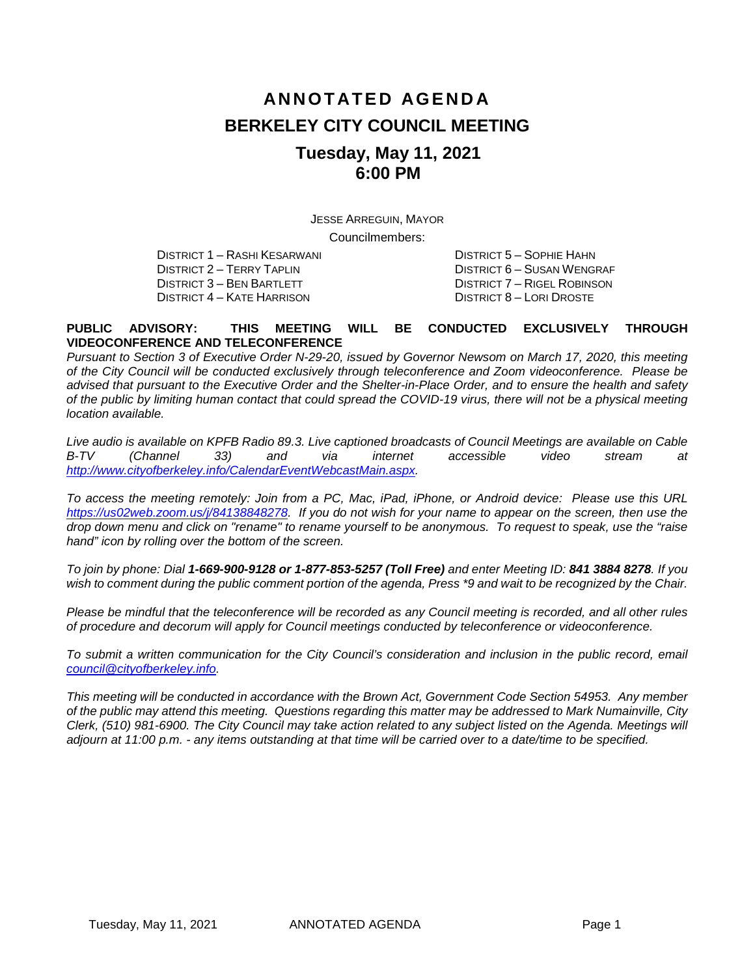# **ANNOTATED AGENDA BERKELEY CITY COUNCIL MEETING Tuesday, May 11, 2021 6:00 PM**

JESSE ARREGUIN, MAYOR

Councilmembers:

DISTRICT 2 – TERRY TAPLIN DISTRICT 6 – SUSAN WENGRAF DISTRICT 4 – KATE HARRISON

DISTRICT 1 – RASHI KESARWANI DISTRICT 5 – SOPHIE HAHN DISTRICT 7 – RIGEL ROBINSON<br>DISTRICT 8 – LORI DROSTE

#### **PUBLIC ADVISORY: THIS MEETING WILL BE CONDUCTED EXCLUSIVELY THROUGH VIDEOCONFERENCE AND TELECONFERENCE**

*Pursuant to Section 3 of Executive Order N-29-20, issued by Governor Newsom on March 17, 2020, this meeting of the City Council will be conducted exclusively through teleconference and Zoom videoconference. Please be advised that pursuant to the Executive Order and the Shelter-in-Place Order, and to ensure the health and safety of the public by limiting human contact that could spread the COVID-19 virus, there will not be a physical meeting location available.* 

*Live audio is available on KPFB Radio 89.3. Live captioned broadcasts of Council Meetings are available on Cable B-TV (Channel 33) and via internet accessible video stream at [http://www.cityofberkeley.info/CalendarEventWebcastMain.aspx.](http://www.cityofberkeley.info/CalendarEventWebcastMain.aspx)*

*To access the meeting remotely: Join from a PC, Mac, iPad, iPhone, or Android device: Please use this URL [https://us02web.zoom.us/j/84138848278.](https://us02web.zoom.us/j/84138848278) If you do not wish for your name to appear on the screen, then use the drop down menu and click on "rename" to rename yourself to be anonymous. To request to speak, use the "raise hand" icon by rolling over the bottom of the screen.* 

*To join by phone: Dial 1-669-900-9128 or 1-877-853-5257 (Toll Free) and enter Meeting ID: 841 3884 8278. If you*  wish to comment during the public comment portion of the agenda, Press \*9 and wait to be recognized by the Chair.

*Please be mindful that the teleconference will be recorded as any Council meeting is recorded, and all other rules of procedure and decorum will apply for Council meetings conducted by teleconference or videoconference.*

To submit a written communication for the City Council's consideration and inclusion in the public record, email *[council@cityofberkeley.info.](mailto:council@cityofberkeley.info)*

*This meeting will be conducted in accordance with the Brown Act, Government Code Section 54953. Any member of the public may attend this meeting. Questions regarding this matter may be addressed to Mark Numainville, City Clerk, (510) 981-6900. The City Council may take action related to any subject listed on the Agenda. Meetings will adjourn at 11:00 p.m. - any items outstanding at that time will be carried over to a date/time to be specified.*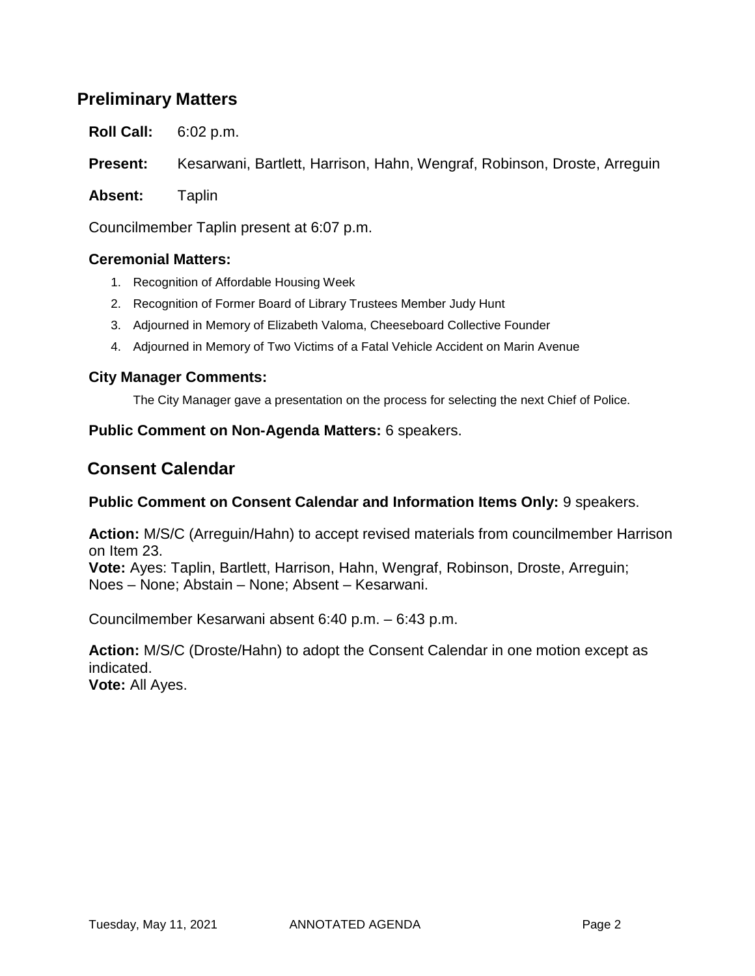# **Preliminary Matters**

**Roll Call:** 6:02 p.m.

**Present:** Kesarwani, Bartlett, Harrison, Hahn, Wengraf, Robinson, Droste, Arreguin

**Absent:** Taplin

Councilmember Taplin present at 6:07 p.m.

#### **Ceremonial Matters:**

- 1. Recognition of Affordable Housing Week
- 2. Recognition of Former Board of Library Trustees Member Judy Hunt
- 3. Adjourned in Memory of Elizabeth Valoma, Cheeseboard Collective Founder
- 4. Adjourned in Memory of Two Victims of a Fatal Vehicle Accident on Marin Avenue

#### **City Manager Comments:**

The City Manager gave a presentation on the process for selecting the next Chief of Police.

#### **Public Comment on Non-Agenda Matters:** 6 speakers.

# **Consent Calendar**

#### **Public Comment on Consent Calendar and Information Items Only:** 9 speakers.

**Action:** M/S/C (Arreguin/Hahn) to accept revised materials from councilmember Harrison on Item 23.

**Vote:** Ayes: Taplin, Bartlett, Harrison, Hahn, Wengraf, Robinson, Droste, Arreguin; Noes – None; Abstain – None; Absent – Kesarwani.

Councilmember Kesarwani absent 6:40 p.m. – 6:43 p.m.

**Action:** M/S/C (Droste/Hahn) to adopt the Consent Calendar in one motion except as indicated.

**Vote:** All Ayes.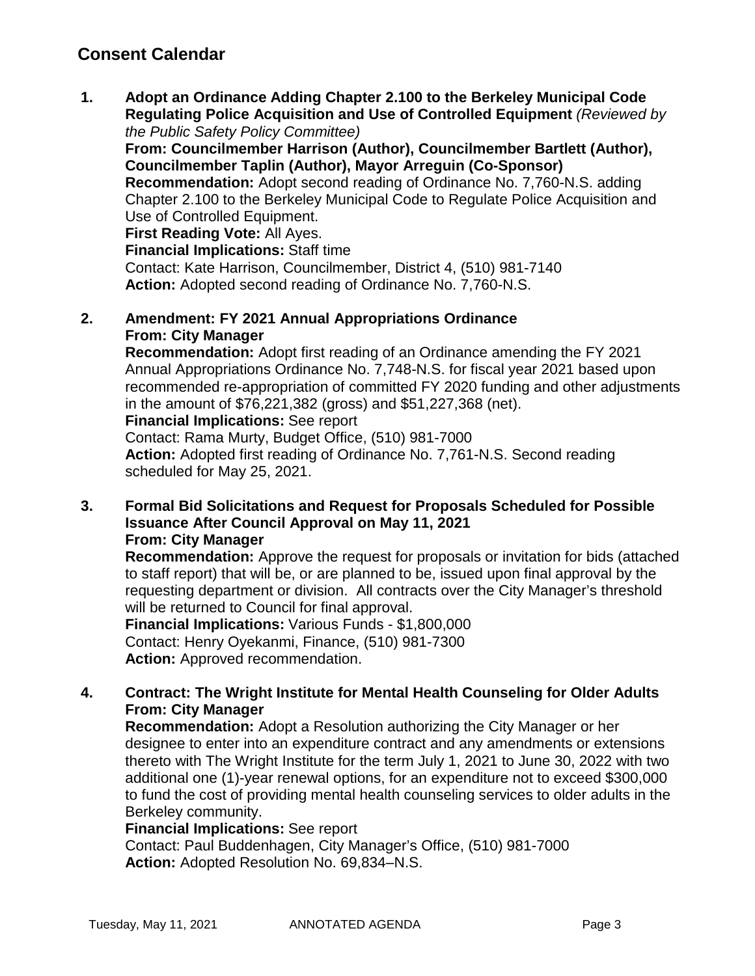# **Consent Calendar**

**1. Adopt an Ordinance Adding Chapter 2.100 to the Berkeley Municipal Code Regulating Police Acquisition and Use of Controlled Equipment** *(Reviewed by the Public Safety Policy Committee)*

**From: Councilmember Harrison (Author), Councilmember Bartlett (Author), Councilmember Taplin (Author), Mayor Arreguin (Co-Sponsor)**

**Recommendation:** Adopt second reading of Ordinance No. 7,760-N.S. adding Chapter 2.100 to the Berkeley Municipal Code to Regulate Police Acquisition and Use of Controlled Equipment.

**First Reading Vote:** All Ayes.

**Financial Implications:** Staff time

Contact: Kate Harrison, Councilmember, District 4, (510) 981-7140 **Action:** Adopted second reading of Ordinance No. 7,760-N.S.

# **2. Amendment: FY 2021 Annual Appropriations Ordinance From: City Manager**

**Recommendation:** Adopt first reading of an Ordinance amending the FY 2021 Annual Appropriations Ordinance No. 7,748-N.S. for fiscal year 2021 based upon recommended re-appropriation of committed FY 2020 funding and other adjustments in the amount of \$76,221,382 (gross) and \$51,227,368 (net).

**Financial Implications:** See report

Contact: Rama Murty, Budget Office, (510) 981-7000 **Action:** Adopted first reading of Ordinance No. 7,761-N.S. Second reading scheduled for May 25, 2021.

#### **3. Formal Bid Solicitations and Request for Proposals Scheduled for Possible Issuance After Council Approval on May 11, 2021 From: City Manager**

**Recommendation:** Approve the request for proposals or invitation for bids (attached to staff report) that will be, or are planned to be, issued upon final approval by the requesting department or division. All contracts over the City Manager's threshold will be returned to Council for final approval.

**Financial Implications:** Various Funds - \$1,800,000 Contact: Henry Oyekanmi, Finance, (510) 981-7300 **Action:** Approved recommendation.

# **4. Contract: The Wright Institute for Mental Health Counseling for Older Adults From: City Manager**

**Recommendation:** Adopt a Resolution authorizing the City Manager or her designee to enter into an expenditure contract and any amendments or extensions thereto with The Wright Institute for the term July 1, 2021 to June 30, 2022 with two additional one (1)-year renewal options, for an expenditure not to exceed \$300,000 to fund the cost of providing mental health counseling services to older adults in the Berkeley community.

### **Financial Implications:** See report

Contact: Paul Buddenhagen, City Manager's Office, (510) 981-7000 **Action:** Adopted Resolution No. 69,834–N.S.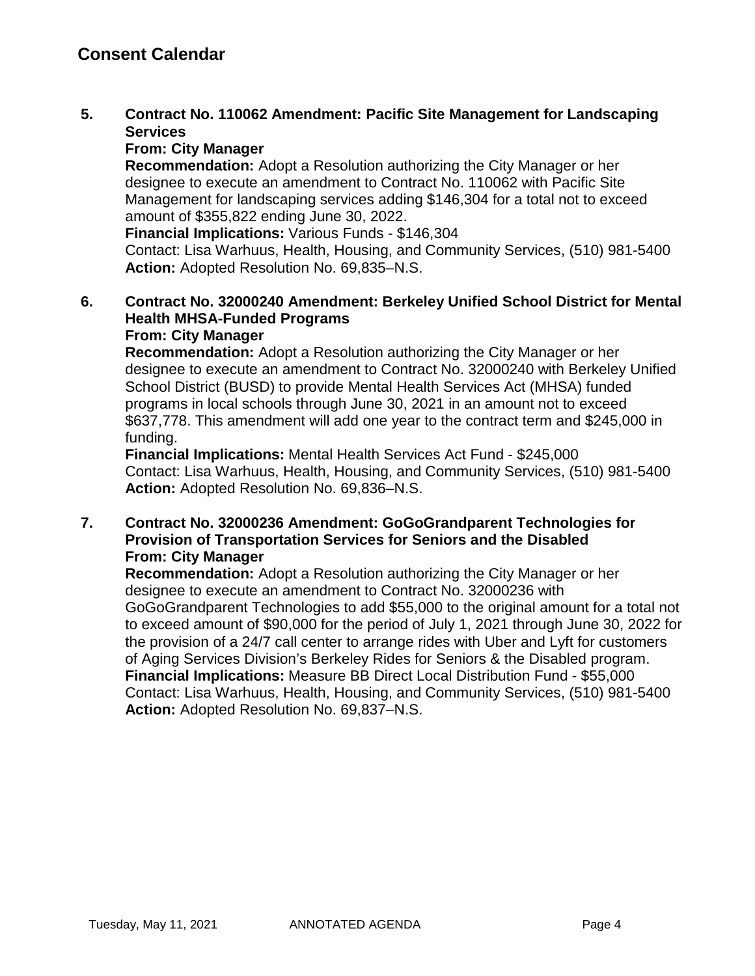# **5. Contract No. 110062 Amendment: Pacific Site Management for Landscaping Services**

# **From: City Manager**

**Recommendation:** Adopt a Resolution authorizing the City Manager or her designee to execute an amendment to Contract No. 110062 with Pacific Site Management for landscaping services adding \$146,304 for a total not to exceed amount of \$355,822 ending June 30, 2022.

**Financial Implications:** Various Funds - \$146,304

Contact: Lisa Warhuus, Health, Housing, and Community Services, (510) 981-5400 **Action:** Adopted Resolution No. 69,835–N.S.

# **6. Contract No. 32000240 Amendment: Berkeley Unified School District for Mental Health MHSA-Funded Programs**

# **From: City Manager**

**Recommendation:** Adopt a Resolution authorizing the City Manager or her designee to execute an amendment to Contract No. 32000240 with Berkeley Unified School District (BUSD) to provide Mental Health Services Act (MHSA) funded programs in local schools through June 30, 2021 in an amount not to exceed \$637,778. This amendment will add one year to the contract term and \$245,000 in funding.

**Financial Implications:** Mental Health Services Act Fund - \$245,000 Contact: Lisa Warhuus, Health, Housing, and Community Services, (510) 981-5400 **Action:** Adopted Resolution No. 69,836–N.S.

# **7. Contract No. 32000236 Amendment: GoGoGrandparent Technologies for Provision of Transportation Services for Seniors and the Disabled From: City Manager**

**Recommendation:** Adopt a Resolution authorizing the City Manager or her designee to execute an amendment to Contract No. 32000236 with GoGoGrandparent Technologies to add \$55,000 to the original amount for a total not to exceed amount of \$90,000 for the period of July 1, 2021 through June 30, 2022 for the provision of a 24/7 call center to arrange rides with Uber and Lyft for customers of Aging Services Division's Berkeley Rides for Seniors & the Disabled program. **Financial Implications:** Measure BB Direct Local Distribution Fund - \$55,000 Contact: Lisa Warhuus, Health, Housing, and Community Services, (510) 981-5400 **Action:** Adopted Resolution No. 69,837–N.S.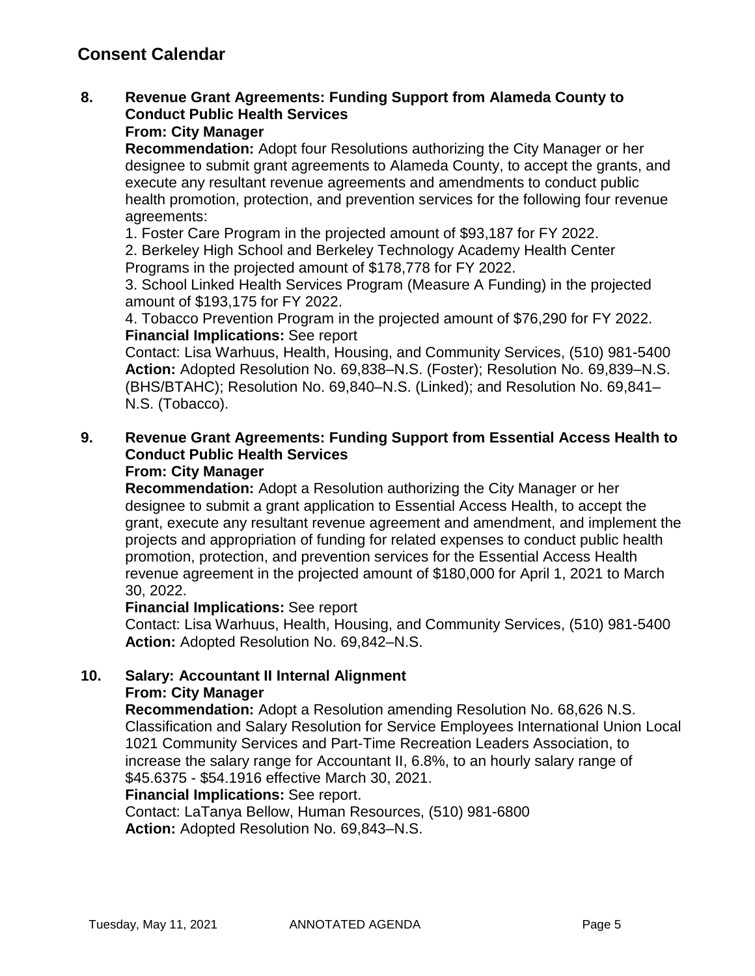# **8. Revenue Grant Agreements: Funding Support from Alameda County to Conduct Public Health Services**

# **From: City Manager**

**Recommendation:** Adopt four Resolutions authorizing the City Manager or her designee to submit grant agreements to Alameda County, to accept the grants, and execute any resultant revenue agreements and amendments to conduct public health promotion, protection, and prevention services for the following four revenue agreements:

1. Foster Care Program in the projected amount of \$93,187 for FY 2022.

2. Berkeley High School and Berkeley Technology Academy Health Center Programs in the projected amount of \$178,778 for FY 2022.

3. School Linked Health Services Program (Measure A Funding) in the projected amount of \$193,175 for FY 2022.

4. Tobacco Prevention Program in the projected amount of \$76,290 for FY 2022. **Financial Implications:** See report

Contact: Lisa Warhuus, Health, Housing, and Community Services, (510) 981-5400 **Action:** Adopted Resolution No. 69,838–N.S. (Foster); Resolution No. 69,839–N.S. (BHS/BTAHC); Resolution No. 69,840–N.S. (Linked); and Resolution No. 69,841– N.S. (Tobacco).

# **9. Revenue Grant Agreements: Funding Support from Essential Access Health to Conduct Public Health Services**

# **From: City Manager**

**Recommendation:** Adopt a Resolution authorizing the City Manager or her designee to submit a grant application to Essential Access Health, to accept the grant, execute any resultant revenue agreement and amendment, and implement the projects and appropriation of funding for related expenses to conduct public health promotion, protection, and prevention services for the Essential Access Health revenue agreement in the projected amount of \$180,000 for April 1, 2021 to March 30, 2022.

### **Financial Implications:** See report

Contact: Lisa Warhuus, Health, Housing, and Community Services, (510) 981-5400 **Action:** Adopted Resolution No. 69,842–N.S.

#### **10. Salary: Accountant II Internal Alignment From: City Manager**

**Recommendation:** Adopt a Resolution amending Resolution No. 68,626 N.S. Classification and Salary Resolution for Service Employees International Union Local 1021 Community Services and Part-Time Recreation Leaders Association, to increase the salary range for Accountant II, 6.8%, to an hourly salary range of \$45.6375 - \$54.1916 effective March 30, 2021.

### **Financial Implications:** See report.

Contact: LaTanya Bellow, Human Resources, (510) 981-6800 **Action:** Adopted Resolution No. 69,843–N.S.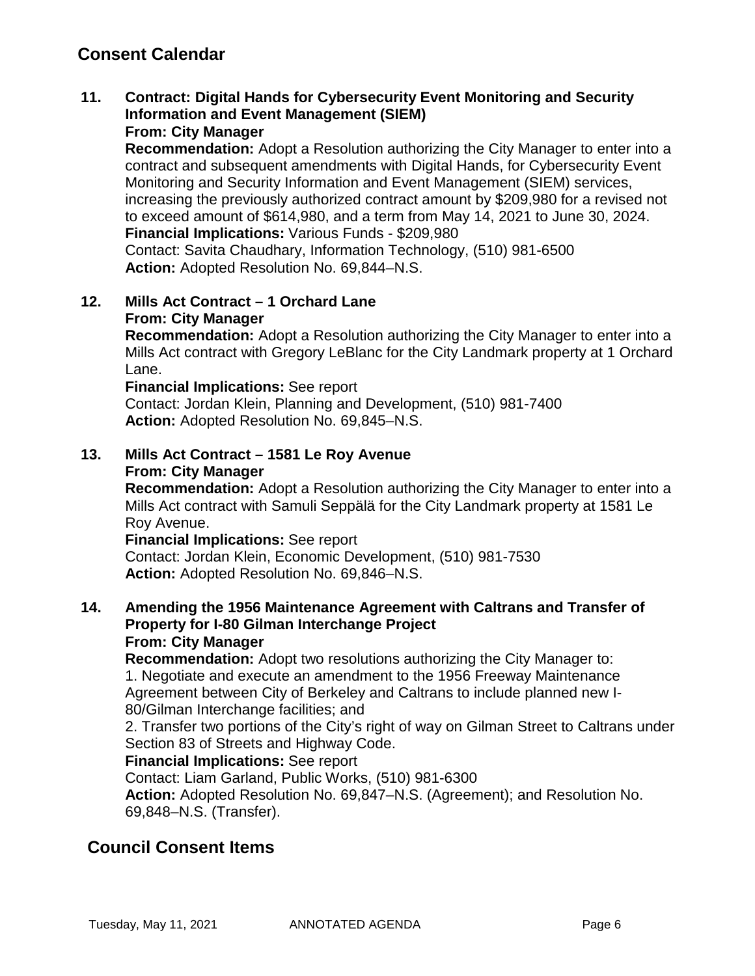# **Consent Calendar**

#### **11. Contract: Digital Hands for Cybersecurity Event Monitoring and Security Information and Event Management (SIEM) From: City Manager**

**Recommendation:** Adopt a Resolution authorizing the City Manager to enter into a contract and subsequent amendments with Digital Hands, for Cybersecurity Event Monitoring and Security Information and Event Management (SIEM) services, increasing the previously authorized contract amount by \$209,980 for a revised not to exceed amount of \$614,980, and a term from May 14, 2021 to June 30, 2024. **Financial Implications:** Various Funds - \$209,980

Contact: Savita Chaudhary, Information Technology, (510) 981-6500 **Action:** Adopted Resolution No. 69,844–N.S.

#### **12. Mills Act Contract – 1 Orchard Lane From: City Manager**

**Recommendation:** Adopt a Resolution authorizing the City Manager to enter into a Mills Act contract with Gregory LeBlanc for the City Landmark property at 1 Orchard Lane.

**Financial Implications:** See report

Contact: Jordan Klein, Planning and Development, (510) 981-7400 **Action:** Adopted Resolution No. 69,845–N.S.

#### **13. Mills Act Contract – 1581 Le Roy Avenue From: City Manager**

**Recommendation:** Adopt a Resolution authorizing the City Manager to enter into a Mills Act contract with Samuli Seppälä for the City Landmark property at 1581 Le Roy Avenue.

**Financial Implications:** See report

Contact: Jordan Klein, Economic Development, (510) 981-7530 **Action:** Adopted Resolution No. 69,846–N.S.

#### **14. Amending the 1956 Maintenance Agreement with Caltrans and Transfer of Property for I-80 Gilman Interchange Project From: City Manager**

**Recommendation:** Adopt two resolutions authorizing the City Manager to: 1. Negotiate and execute an amendment to the 1956 Freeway Maintenance Agreement between City of Berkeley and Caltrans to include planned new I-80/Gilman Interchange facilities; and

2. Transfer two portions of the City's right of way on Gilman Street to Caltrans under Section 83 of Streets and Highway Code.

### **Financial Implications:** See report

Contact: Liam Garland, Public Works, (510) 981-6300

**Action:** Adopted Resolution No. 69,847–N.S. (Agreement); and Resolution No. 69,848–N.S. (Transfer).

# **Council Consent Items**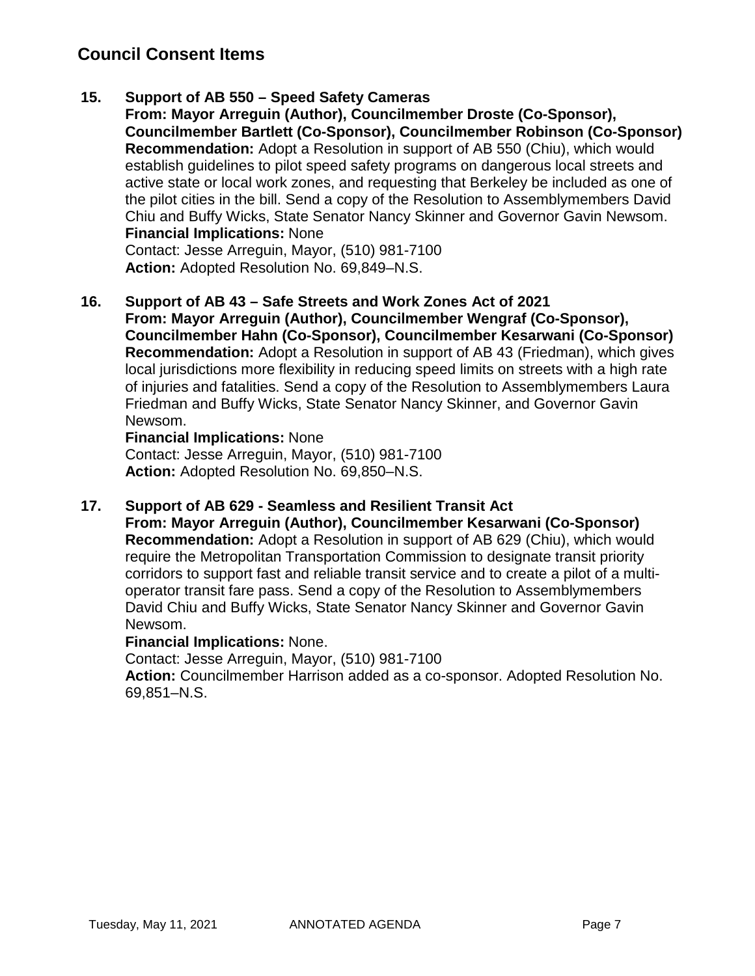## **15. Support of AB 550 – Speed Safety Cameras**

**From: Mayor Arreguin (Author), Councilmember Droste (Co-Sponsor), Councilmember Bartlett (Co-Sponsor), Councilmember Robinson (Co-Sponsor) Recommendation:** Adopt a Resolution in support of AB 550 (Chiu), which would establish guidelines to pilot speed safety programs on dangerous local streets and active state or local work zones, and requesting that Berkeley be included as one of the pilot cities in the bill. Send a copy of the Resolution to Assemblymembers David Chiu and Buffy Wicks, State Senator Nancy Skinner and Governor Gavin Newsom. **Financial Implications:** None

Contact: Jesse Arreguin, Mayor, (510) 981-7100 **Action:** Adopted Resolution No. 69,849–N.S.

**16. Support of AB 43 – Safe Streets and Work Zones Act of 2021 From: Mayor Arreguin (Author), Councilmember Wengraf (Co-Sponsor), Councilmember Hahn (Co-Sponsor), Councilmember Kesarwani (Co-Sponsor) Recommendation:** Adopt a Resolution in support of AB 43 (Friedman), which gives local jurisdictions more flexibility in reducing speed limits on streets with a high rate of injuries and fatalities. Send a copy of the Resolution to Assemblymembers Laura Friedman and Buffy Wicks, State Senator Nancy Skinner, and Governor Gavin Newsom.

#### **Financial Implications:** None

Contact: Jesse Arreguin, Mayor, (510) 981-7100 **Action:** Adopted Resolution No. 69,850–N.S.

### **17. Support of AB 629 - Seamless and Resilient Transit Act**

**From: Mayor Arreguin (Author), Councilmember Kesarwani (Co-Sponsor) Recommendation:** Adopt a Resolution in support of AB 629 (Chiu), which would require the Metropolitan Transportation Commission to designate transit priority corridors to support fast and reliable transit service and to create a pilot of a multioperator transit fare pass. Send a copy of the Resolution to Assemblymembers David Chiu and Buffy Wicks, State Senator Nancy Skinner and Governor Gavin Newsom.

### **Financial Implications:** None.

Contact: Jesse Arreguin, Mayor, (510) 981-7100

**Action:** Councilmember Harrison added as a co-sponsor. Adopted Resolution No. 69,851–N.S.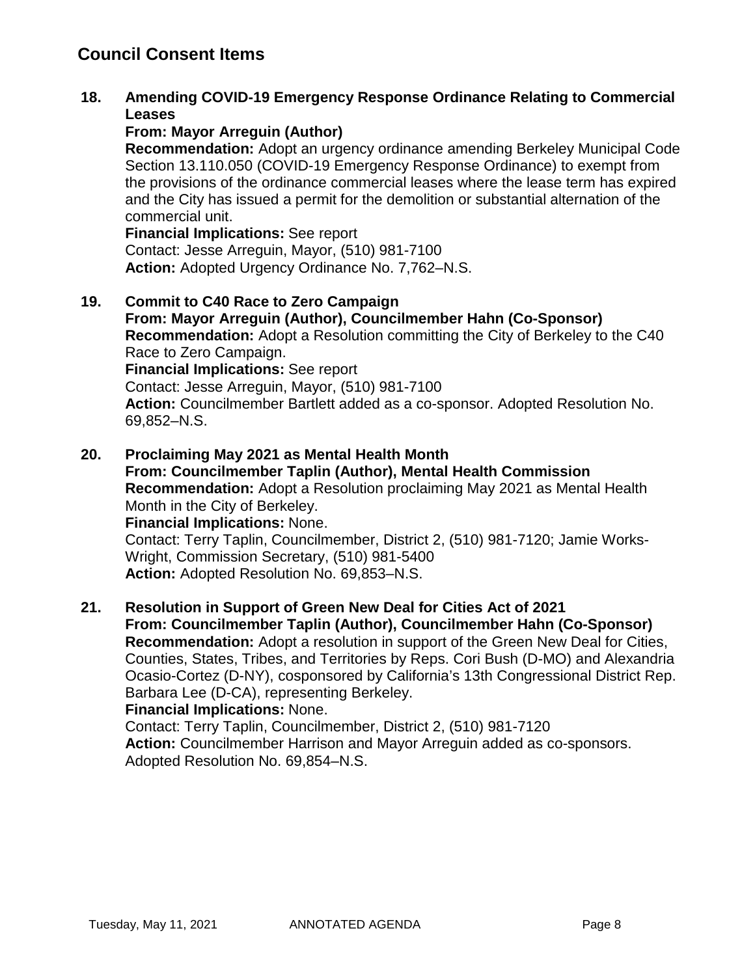### **18. Amending COVID-19 Emergency Response Ordinance Relating to Commercial Leases**

#### **From: Mayor Arreguin (Author)**

**Recommendation:** Adopt an urgency ordinance amending Berkeley Municipal Code Section 13.110.050 (COVID-19 Emergency Response Ordinance) to exempt from the provisions of the ordinance commercial leases where the lease term has expired and the City has issued a permit for the demolition or substantial alternation of the commercial unit.

**Financial Implications:** See report Contact: Jesse Arreguin, Mayor, (510) 981-7100 **Action:** Adopted Urgency Ordinance No. 7,762–N.S.

#### **19. Commit to C40 Race to Zero Campaign**

**From: Mayor Arreguin (Author), Councilmember Hahn (Co-Sponsor) Recommendation:** Adopt a Resolution committing the City of Berkeley to the C40 Race to Zero Campaign. **Financial Implications:** See report Contact: Jesse Arreguin, Mayor, (510) 981-7100 **Action:** Councilmember Bartlett added as a co-sponsor. Adopted Resolution No. 69,852–N.S.

# **20. Proclaiming May 2021 as Mental Health Month**

**From: Councilmember Taplin (Author), Mental Health Commission Recommendation:** Adopt a Resolution proclaiming May 2021 as Mental Health Month in the City of Berkeley.

**Financial Implications:** None. Contact: Terry Taplin, Councilmember, District 2, (510) 981-7120; Jamie Works-Wright, Commission Secretary, (510) 981-5400 **Action:** Adopted Resolution No. 69,853–N.S.

# **21. Resolution in Support of Green New Deal for Cities Act of 2021 From: Councilmember Taplin (Author), Councilmember Hahn (Co-Sponsor) Recommendation:** Adopt a resolution in support of the Green New Deal for Cities,

Counties, States, Tribes, and Territories by Reps. Cori Bush (D-MO) and Alexandria Ocasio-Cortez (D-NY), cosponsored by California's 13th Congressional District Rep. Barbara Lee (D-CA), representing Berkeley.

#### **Financial Implications:** None.

Contact: Terry Taplin, Councilmember, District 2, (510) 981-7120 **Action:** Councilmember Harrison and Mayor Arreguin added as co-sponsors. Adopted Resolution No. 69,854–N.S.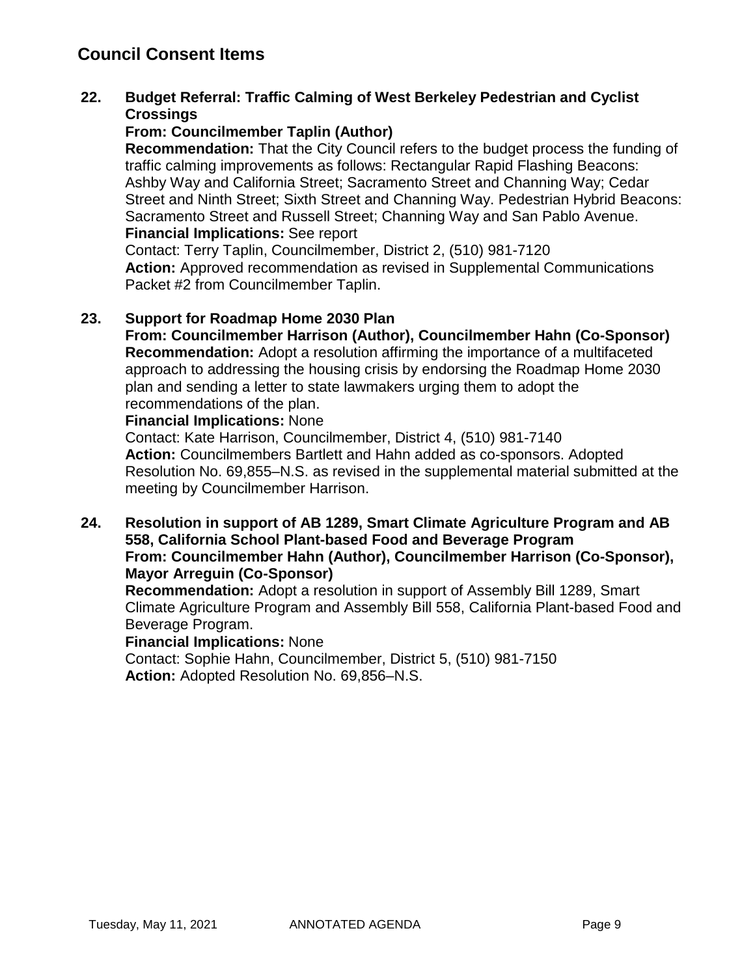# **22. Budget Referral: Traffic Calming of West Berkeley Pedestrian and Cyclist Crossings**

### **From: Councilmember Taplin (Author)**

**Recommendation:** That the City Council refers to the budget process the funding of traffic calming improvements as follows: Rectangular Rapid Flashing Beacons: Ashby Way and California Street; Sacramento Street and Channing Way; Cedar Street and Ninth Street; Sixth Street and Channing Way. Pedestrian Hybrid Beacons: Sacramento Street and Russell Street; Channing Way and San Pablo Avenue. **Financial Implications:** See report

Contact: Terry Taplin, Councilmember, District 2, (510) 981-7120 **Action:** Approved recommendation as revised in Supplemental Communications Packet #2 from Councilmember Taplin.

### **23. Support for Roadmap Home 2030 Plan**

**From: Councilmember Harrison (Author), Councilmember Hahn (Co-Sponsor) Recommendation:** Adopt a resolution affirming the importance of a multifaceted approach to addressing the housing crisis by endorsing the Roadmap Home 2030 plan and sending a letter to state lawmakers urging them to adopt the recommendations of the plan.

#### **Financial Implications:** None

Contact: Kate Harrison, Councilmember, District 4, (510) 981-7140 **Action:** Councilmembers Bartlett and Hahn added as co-sponsors. Adopted Resolution No. 69,855–N.S. as revised in the supplemental material submitted at the meeting by Councilmember Harrison.

**24. Resolution in support of AB 1289, Smart Climate Agriculture Program and AB 558, California School Plant-based Food and Beverage Program From: Councilmember Hahn (Author), Councilmember Harrison (Co-Sponsor), Mayor Arreguin (Co-Sponsor)**

**Recommendation:** Adopt a resolution in support of Assembly Bill 1289, Smart Climate Agriculture Program and Assembly Bill 558, California Plant-based Food and Beverage Program.

#### **Financial Implications:** None

Contact: Sophie Hahn, Councilmember, District 5, (510) 981-7150 **Action:** Adopted Resolution No. 69,856–N.S.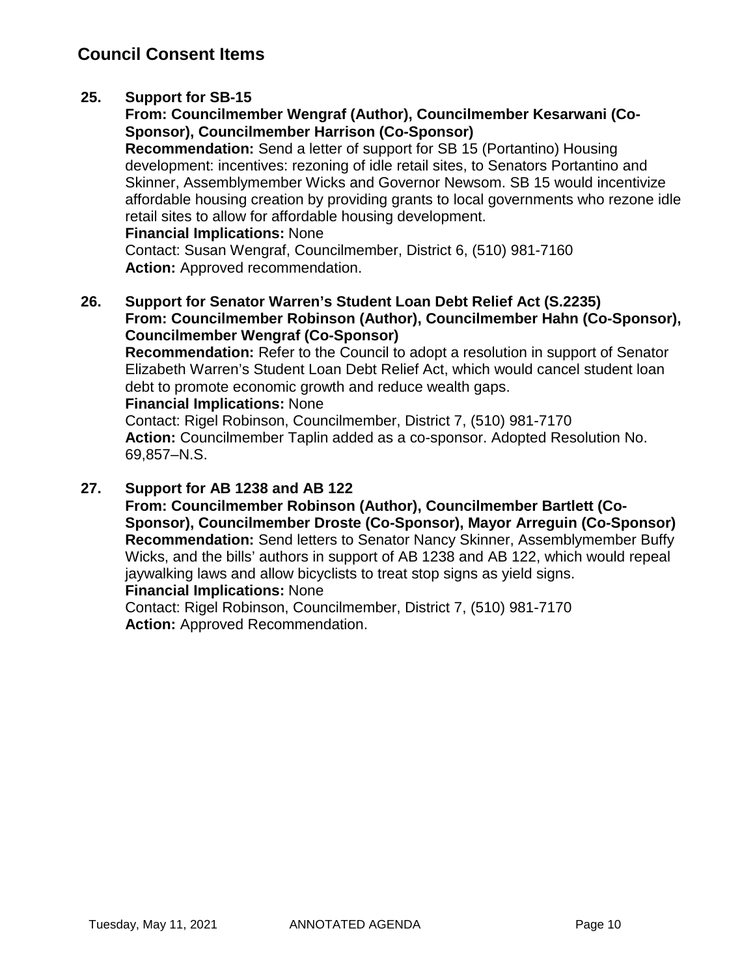# **25. Support for SB-15**

# **From: Councilmember Wengraf (Author), Councilmember Kesarwani (Co-Sponsor), Councilmember Harrison (Co-Sponsor)**

**Recommendation:** Send a letter of support for SB 15 (Portantino) Housing development: incentives: rezoning of idle retail sites, to Senators Portantino and Skinner, Assemblymember Wicks and Governor Newsom. SB 15 would incentivize affordable housing creation by providing grants to local governments who rezone idle retail sites to allow for affordable housing development.

#### **Financial Implications:** None

Contact: Susan Wengraf, Councilmember, District 6, (510) 981-7160 Action: Approved recommendation.

### **26. Support for Senator Warren's Student Loan Debt Relief Act (S.2235) From: Councilmember Robinson (Author), Councilmember Hahn (Co-Sponsor), Councilmember Wengraf (Co-Sponsor)**

**Recommendation:** Refer to the Council to adopt a resolution in support of Senator Elizabeth Warren's Student Loan Debt Relief Act, which would cancel student loan debt to promote economic growth and reduce wealth gaps.

#### **Financial Implications:** None

Contact: Rigel Robinson, Councilmember, District 7, (510) 981-7170 **Action:** Councilmember Taplin added as a co-sponsor. Adopted Resolution No. 69,857–N.S.

### **27. Support for AB 1238 and AB 122**

**From: Councilmember Robinson (Author), Councilmember Bartlett (Co-Sponsor), Councilmember Droste (Co-Sponsor), Mayor Arreguin (Co-Sponsor) Recommendation:** Send letters to Senator Nancy Skinner, Assemblymember Buffy Wicks, and the bills' authors in support of AB 1238 and AB 122, which would repeal jaywalking laws and allow bicyclists to treat stop signs as yield signs.

#### **Financial Implications:** None

Contact: Rigel Robinson, Councilmember, District 7, (510) 981-7170 **Action:** Approved Recommendation.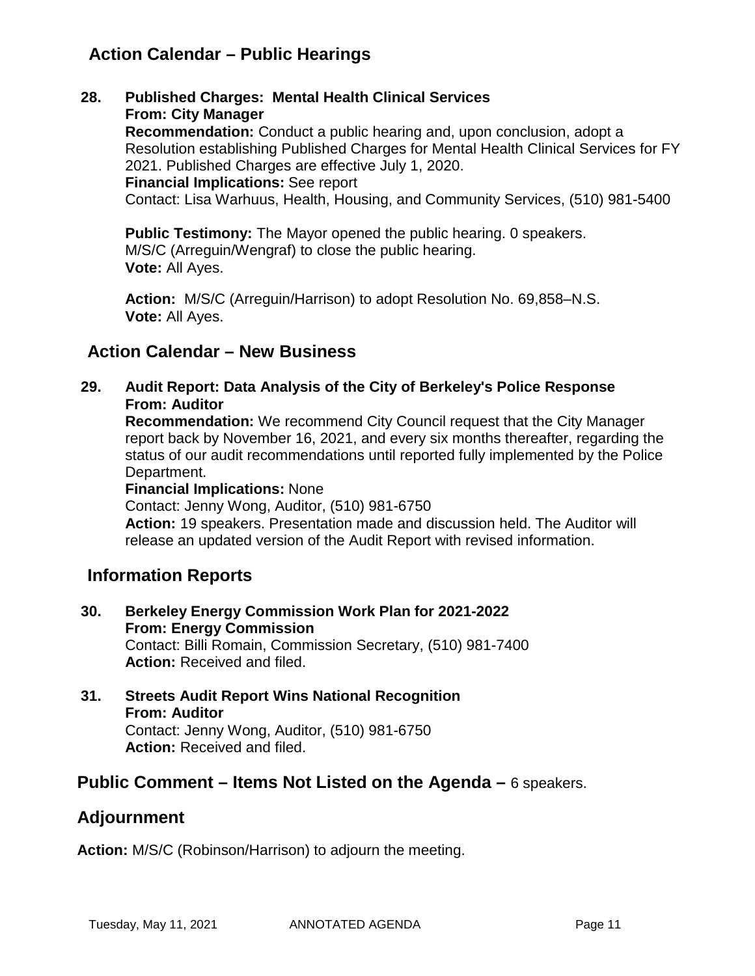# **Action Calendar – Public Hearings**

**28. Published Charges: Mental Health Clinical Services From: City Manager**

> **Recommendation:** Conduct a public hearing and, upon conclusion, adopt a Resolution establishing Published Charges for Mental Health Clinical Services for FY 2021. Published Charges are effective July 1, 2020.

**Financial Implications:** See report

Contact: Lisa Warhuus, Health, Housing, and Community Services, (510) 981-5400

**Public Testimony:** The Mayor opened the public hearing. 0 speakers. M/S/C (Arreguin/Wengraf) to close the public hearing. **Vote:** All Ayes.

**Action:** M/S/C (Arreguin/Harrison) to adopt Resolution No. 69,858–N.S. **Vote:** All Ayes.

# **Action Calendar – New Business**

**29. Audit Report: Data Analysis of the City of Berkeley's Police Response From: Auditor**

**Recommendation:** We recommend City Council request that the City Manager report back by November 16, 2021, and every six months thereafter, regarding the status of our audit recommendations until reported fully implemented by the Police Department.

#### **Financial Implications:** None

Contact: Jenny Wong, Auditor, (510) 981-6750

**Action:** 19 speakers. Presentation made and discussion held. The Auditor will release an updated version of the Audit Report with revised information.

# **Information Reports**

- **30. Berkeley Energy Commission Work Plan for 2021-2022 From: Energy Commission** Contact: Billi Romain, Commission Secretary, (510) 981-7400 **Action:** Received and filed.
- **31. Streets Audit Report Wins National Recognition From: Auditor** Contact: Jenny Wong, Auditor, (510) 981-6750 **Action:** Received and filed.

# **Public Comment – Items Not Listed on the Agenda –** 6 speakers.

# **Adjournment**

**Action:** M/S/C (Robinson/Harrison) to adjourn the meeting.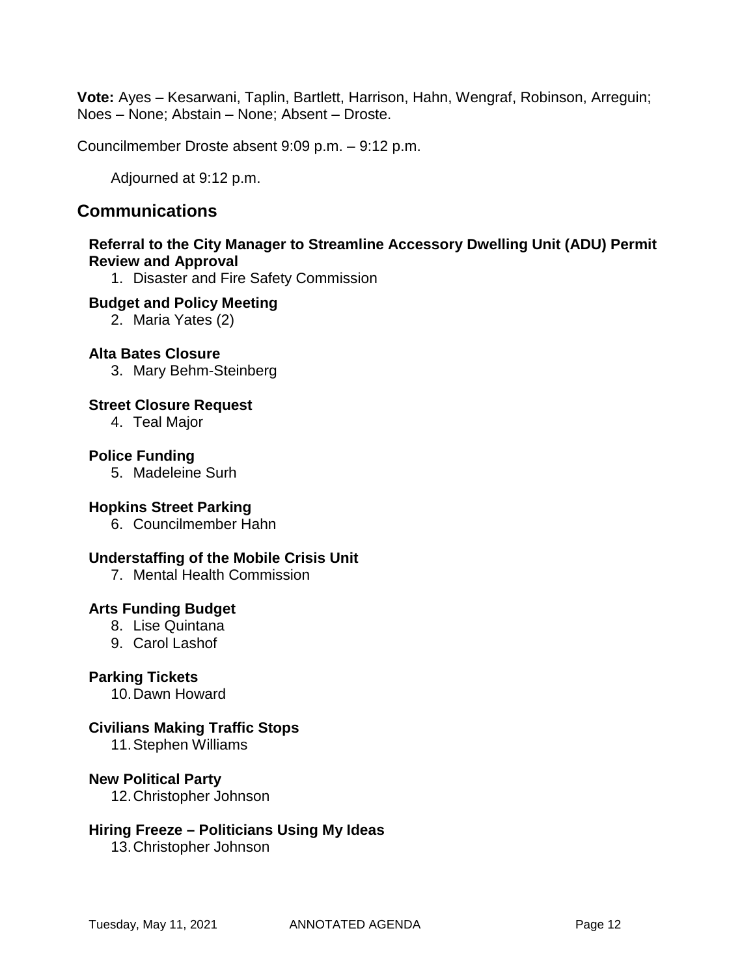**Vote:** Ayes – Kesarwani, Taplin, Bartlett, Harrison, Hahn, Wengraf, Robinson, Arreguin; Noes – None; Abstain – None; Absent – Droste.

Councilmember Droste absent 9:09 p.m. – 9:12 p.m.

Adjourned at 9:12 p.m.

# **Communications**

### **Referral to the City Manager to Streamline Accessory Dwelling Unit (ADU) Permit Review and Approval**

1. Disaster and Fire Safety Commission

#### **Budget and Policy Meeting**

2. Maria Yates (2)

### **Alta Bates Closure**

3. Mary Behm-Steinberg

### **Street Closure Request**

4. Teal Major

### **Police Funding**

5. Madeleine Surh

### **Hopkins Street Parking**

6. Councilmember Hahn

### **Understaffing of the Mobile Crisis Unit**

7. Mental Health Commission

### **Arts Funding Budget**

- 8. Lise Quintana
- 9. Carol Lashof

### **Parking Tickets**

10.Dawn Howard

### **Civilians Making Traffic Stops**

11.Stephen Williams

#### **New Political Party**

12.Christopher Johnson

#### **Hiring Freeze – Politicians Using My Ideas**

13.Christopher Johnson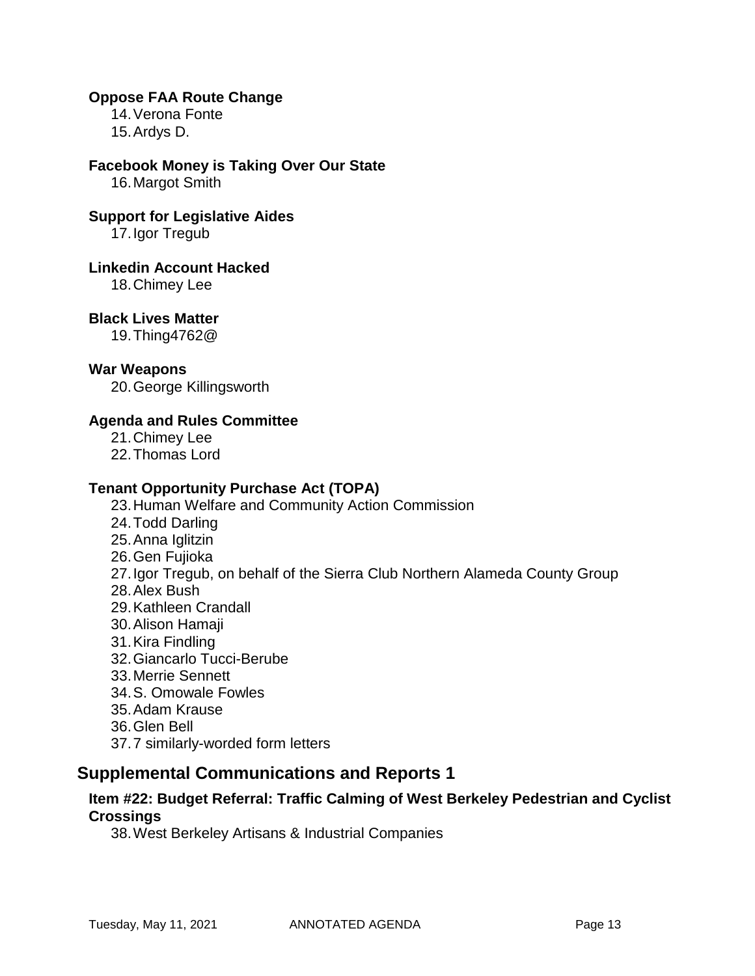#### **Oppose FAA Route Change**

14.Verona Fonte 15.Ardys D.

#### **Facebook Money is Taking Over Our State**

16.Margot Smith

#### **Support for Legislative Aides**

17.Igor Tregub

#### **Linkedin Account Hacked**

18.Chimey Lee

### **Black Lives Matter**

19.Thing4762@

#### **War Weapons**

20.George Killingsworth

### **Agenda and Rules Committee**

- 21.Chimey Lee
- 22.Thomas Lord

#### **Tenant Opportunity Purchase Act (TOPA)**

- 23.Human Welfare and Community Action Commission
- 24.Todd Darling
- 25.Anna Iglitzin
- 26.Gen Fujioka
- 27.Igor Tregub, on behalf of the Sierra Club Northern Alameda County Group
- 28.Alex Bush
- 29.Kathleen Crandall
- 30.Alison Hamaji
- 31.Kira Findling
- 32.Giancarlo Tucci-Berube
- 33.Merrie Sennett
- 34.S. Omowale Fowles
- 35.Adam Krause
- 36.Glen Bell
- 37.7 similarly-worded form letters

# **Supplemental Communications and Reports 1**

### **Item #22: Budget Referral: Traffic Calming of West Berkeley Pedestrian and Cyclist Crossings**

38.West Berkeley Artisans & Industrial Companies